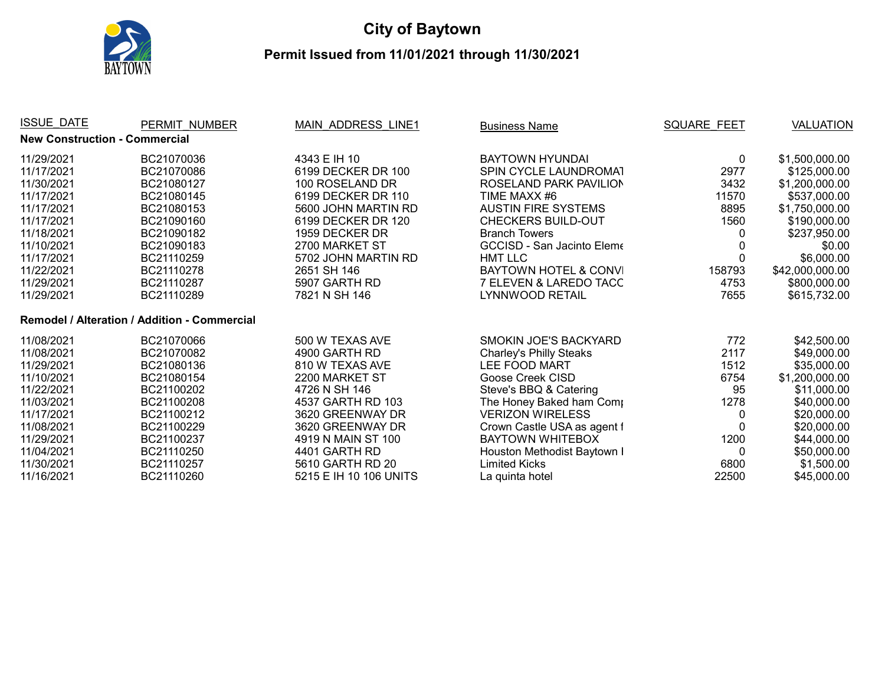

## **City of Baytown**

## **Permit Issued from 11/01/2021 through 11/30/2021**

| <b>ISSUE DATE</b>                    | PERMIT NUMBER                                | <b>MAIN ADDRESS LINE1</b> | <b>Business Name</b>              | <b>SQUARE FEET</b> | <b>VALUATION</b> |
|--------------------------------------|----------------------------------------------|---------------------------|-----------------------------------|--------------------|------------------|
| <b>New Construction - Commercial</b> |                                              |                           |                                   |                    |                  |
| 11/29/2021                           | BC21070036                                   | 4343 E IH 10              | <b>BAYTOWN HYUNDAI</b>            | 0                  | \$1,500,000.00   |
| 11/17/2021                           | BC21070086                                   | 6199 DECKER DR 100        | <b>SPIN CYCLE LAUNDROMAT</b>      | 2977               | \$125,000.00     |
| 11/30/2021                           | BC21080127                                   | 100 ROSELAND DR           | ROSELAND PARK PAVILION            | 3432               | \$1,200,000.00   |
| 11/17/2021                           | BC21080145                                   | 6199 DECKER DR 110        | TIME MAXX #6                      | 11570              | \$537,000.00     |
| 11/17/2021                           | BC21080153                                   | 5600 JOHN MARTIN RD       | <b>AUSTIN FIRE SYSTEMS</b>        | 8895               | \$1,750,000.00   |
| 11/17/2021                           | BC21090160                                   | 6199 DECKER DR 120        | <b>CHECKERS BUILD-OUT</b>         | 1560               | \$190,000.00     |
| 11/18/2021                           | BC21090182                                   | 1959 DECKER DR            | <b>Branch Towers</b>              |                    | \$237,950.00     |
| 11/10/2021                           | BC21090183                                   | 2700 MARKET ST            | <b>GCCISD - San Jacinto Eleme</b> |                    | \$0.00           |
| 11/17/2021                           | BC21110259                                   | 5702 JOHN MARTIN RD       | <b>HMT LLC</b>                    |                    | \$6,000.00       |
| 11/22/2021                           | BC21110278                                   | 2651 SH 146               | BAYTOWN HOTEL & CONVI             | 158793             | \$42,000,000.00  |
| 11/29/2021                           | BC21110287                                   | 5907 GARTH RD             | 7 ELEVEN & LAREDO TACC            | 4753               | \$800,000.00     |
| 11/29/2021                           | BC21110289                                   | 7821 N SH 146             | LYNNWOOD RETAIL                   | 7655               | \$615,732.00     |
|                                      | Remodel / Alteration / Addition - Commercial |                           |                                   |                    |                  |
| 11/08/2021                           | BC21070066                                   | 500 W TEXAS AVE           | <b>SMOKIN JOE'S BACKYARD</b>      | 772                | \$42,500.00      |
| 11/08/2021                           | BC21070082                                   | 4900 GARTH RD             | <b>Charley's Philly Steaks</b>    | 2117               | \$49,000.00      |
| 11/29/2021                           | BC21080136                                   | 810 W TEXAS AVE           | LEE FOOD MART                     | 1512               | \$35,000.00      |
| 11/10/2021                           | BC21080154                                   | 2200 MARKET ST            | Goose Creek CISD                  | 6754               | \$1,200,000.00   |
| 11/22/2021                           | BC21100202                                   | 4726 N SH 146             | Steve's BBQ & Catering            | 95                 | \$11,000.00      |
| 11/03/2021                           | BC21100208                                   | 4537 GARTH RD 103         | The Honey Baked ham Comp          | 1278               | \$40,000.00      |
| 11/17/2021                           | BC21100212                                   | 3620 GREENWAY DR          | <b>VERIZON WIRELESS</b>           | 0                  | \$20,000.00      |
| 11/08/2021                           | BC21100229                                   | 3620 GREENWAY DR          | Crown Castle USA as agent f       | $\Omega$           | \$20,000.00      |
| 11/29/2021                           | BC21100237                                   | 4919 N MAIN ST 100        | <b>BAYTOWN WHITEBOX</b>           | 1200               | \$44,000.00      |
| 11/04/2021                           | BC21110250                                   | 4401 GARTH RD             | Houston Methodist Baytown I       | $\Omega$           | \$50,000.00      |
| 11/30/2021                           | BC21110257                                   | 5610 GARTH RD 20          | Limited Kicks                     | 6800               | \$1,500.00       |
| 11/16/2021                           | BC21110260                                   | 5215 E IH 10 106 UNITS    | La quinta hotel                   | 22500              | \$45,000.00      |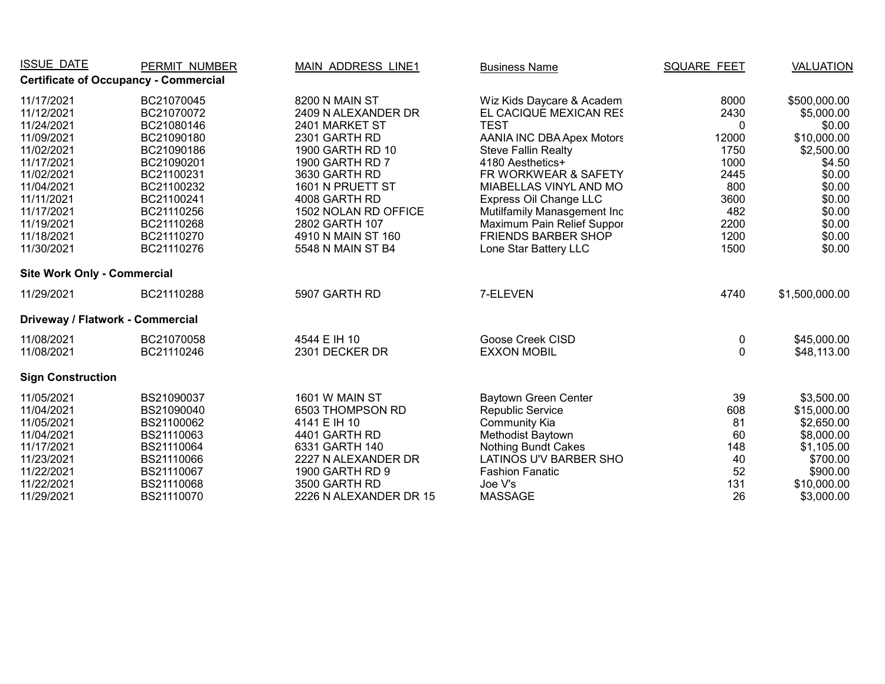| <b>ISSUE DATE</b>                  | PERMIT NUMBER                                | <b>MAIN ADDRESS LINE1</b> | <b>Business Name</b>             | <b>SQUARE FEET</b> | <b>VALUATION</b> |
|------------------------------------|----------------------------------------------|---------------------------|----------------------------------|--------------------|------------------|
|                                    | <b>Certificate of Occupancy - Commercial</b> |                           |                                  |                    |                  |
| 11/17/2021                         | BC21070045                                   | 8200 N MAIN ST            | Wiz Kids Daycare & Academ        | 8000               | \$500,000.00     |
| 11/12/2021                         | BC21070072                                   | 2409 N ALEXANDER DR       | EL CACIQUE MEXICAN RES           | 2430               | \$5,000.00       |
| 11/24/2021                         | BC21080146                                   | 2401 MARKET ST            | <b>TEST</b>                      | $\Omega$           | \$0.00           |
| 11/09/2021                         | BC21090180                                   | 2301 GARTH RD             | <b>AANIA INC DBA Apex Motors</b> | 12000              | \$10,000.00      |
| 11/02/2021                         | BC21090186                                   | 1900 GARTH RD 10          | <b>Steve Fallin Realty</b>       | 1750               | \$2,500.00       |
| 11/17/2021                         | BC21090201                                   | 1900 GARTH RD 7           | 4180 Aesthetics+                 | 1000               | \$4.50           |
| 11/02/2021                         | BC21100231                                   | 3630 GARTH RD             | FR WORKWEAR & SAFETY             | 2445               | \$0.00           |
| 11/04/2021                         | BC21100232                                   | 1601 N PRUETT ST          | MIABELLAS VINYL AND MO           | 800                | \$0.00           |
| 11/11/2021                         | BC21100241                                   | 4008 GARTH RD             | Express Oil Change LLC           | 3600               | \$0.00           |
| 11/17/2021                         | BC21110256                                   | 1502 NOLAN RD OFFICE      | Mutilfamily Manasgement Inc      | 482                | \$0.00           |
| 11/19/2021                         | BC21110268                                   | 2802 GARTH 107            | Maximum Pain Relief Suppor       | 2200               | \$0.00           |
| 11/18/2021                         | BC21110270                                   | 4910 N MAIN ST 160        | <b>FRIENDS BARBER SHOP</b>       | 1200               | \$0.00           |
| 11/30/2021                         | BC21110276                                   | 5548 N MAIN ST B4         | Lone Star Battery LLC            | 1500               | \$0.00           |
| <b>Site Work Only - Commercial</b> |                                              |                           |                                  |                    |                  |
| 11/29/2021                         | BC21110288                                   | 5907 GARTH RD             | 7-ELEVEN                         | 4740               | \$1,500,000.00   |
| Driveway / Flatwork - Commercial   |                                              |                           |                                  |                    |                  |
| 11/08/2021                         | BC21070058                                   | 4544 E IH 10              | Goose Creek CISD                 | 0                  | \$45,000.00      |
| 11/08/2021                         | BC21110246                                   | 2301 DECKER DR            | <b>EXXON MOBIL</b>               | $\Omega$           | \$48,113.00      |
| <b>Sign Construction</b>           |                                              |                           |                                  |                    |                  |
| 11/05/2021                         | BS21090037                                   | 1601 W MAIN ST            | Baytown Green Center             | 39                 | \$3,500.00       |
| 11/04/2021                         | BS21090040                                   | 6503 THOMPSON RD          | Republic Service                 | 608                | \$15,000.00      |
| 11/05/2021                         | BS21100062                                   | 4141 E IH 10              | <b>Community Kia</b>             | 81                 | \$2,650.00       |
| 11/04/2021                         | BS21110063                                   | 4401 GARTH RD             | <b>Methodist Baytown</b>         | 60                 | \$8,000.00       |
| 11/17/2021                         | BS21110064                                   | 6331 GARTH 140            | <b>Nothing Bundt Cakes</b>       | 148                | \$1,105.00       |
| 11/23/2021                         | BS21110066                                   | 2227 N ALEXANDER DR       | LATINOS U'V BARBER SHO           | 40                 | \$700.00         |
| 11/22/2021                         | BS21110067                                   | 1900 GARTH RD 9           | <b>Fashion Fanatic</b>           | 52                 | \$900.00         |
| 11/22/2021                         | BS21110068                                   | 3500 GARTH RD             | Joe V's                          | 131                | \$10,000.00      |
| 11/29/2021                         | BS21110070                                   | 2226 N ALEXANDER DR 15    | <b>MASSAGE</b>                   | 26                 | \$3,000.00       |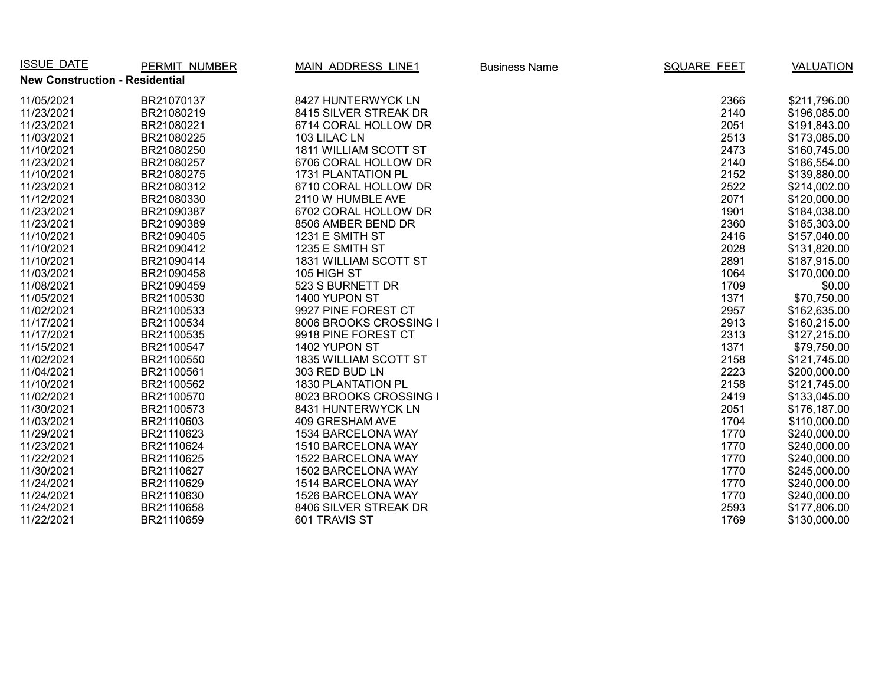| <b>ISSUE DATE</b>                     | PERMIT NUMBER | <b>MAIN ADDRESS LINE1</b> | <b>Business Name</b> | <b>SQUARE FEET</b> | <b>VALUATION</b> |
|---------------------------------------|---------------|---------------------------|----------------------|--------------------|------------------|
| <b>New Construction - Residential</b> |               |                           |                      |                    |                  |
| 11/05/2021                            | BR21070137    | 8427 HUNTERWYCK LN        |                      | 2366               | \$211,796.00     |
| 11/23/2021                            | BR21080219    | 8415 SILVER STREAK DR     |                      | 2140               | \$196,085.00     |
| 11/23/2021                            | BR21080221    | 6714 CORAL HOLLOW DR      |                      | 2051               | \$191,843.00     |
| 11/03/2021                            | BR21080225    | 103 LILAC LN              |                      | 2513               | \$173,085.00     |
| 11/10/2021                            | BR21080250    | 1811 WILLIAM SCOTT ST     |                      | 2473               | \$160,745.00     |
| 11/23/2021                            | BR21080257    | 6706 CORAL HOLLOW DR      |                      | 2140               | \$186,554.00     |
| 11/10/2021                            | BR21080275    | 1731 PLANTATION PL        |                      | 2152               | \$139,880.00     |
| 11/23/2021                            | BR21080312    | 6710 CORAL HOLLOW DR      |                      | 2522               | \$214,002.00     |
| 11/12/2021                            | BR21080330    | 2110 W HUMBLE AVE         |                      | 2071               | \$120,000.00     |
| 11/23/2021                            | BR21090387    | 6702 CORAL HOLLOW DR      |                      | 1901               | \$184,038.00     |
| 11/23/2021                            | BR21090389    | 8506 AMBER BEND DR        |                      | 2360               | \$185,303.00     |
| 11/10/2021                            | BR21090405    | 1231 E SMITH ST           |                      | 2416               | \$157,040.00     |
| 11/10/2021                            | BR21090412    | 1235 E SMITH ST           |                      | 2028               | \$131,820.00     |
| 11/10/2021                            | BR21090414    | 1831 WILLIAM SCOTT ST     |                      | 2891               | \$187,915.00     |
| 11/03/2021                            | BR21090458    | 105 HIGH ST               |                      | 1064               | \$170,000.00     |
| 11/08/2021                            | BR21090459    | 523 S BURNETT DR          |                      | 1709               | \$0.00           |
| 11/05/2021                            | BR21100530    | 1400 YUPON ST             |                      | 1371               | \$70,750.00      |
| 11/02/2021                            | BR21100533    | 9927 PINE FOREST CT       |                      | 2957               | \$162,635.00     |
| 11/17/2021                            | BR21100534    | 8006 BROOKS CROSSING I    |                      | 2913               | \$160,215.00     |
| 11/17/2021                            | BR21100535    | 9918 PINE FOREST CT       |                      | 2313               | \$127,215.00     |
| 11/15/2021                            | BR21100547    | 1402 YUPON ST             |                      | 1371               | \$79,750.00      |
| 11/02/2021                            | BR21100550    | 1835 WILLIAM SCOTT ST     |                      | 2158               | \$121,745.00     |
| 11/04/2021                            | BR21100561    | 303 RED BUD LN            |                      | 2223               | \$200,000.00     |
| 11/10/2021                            | BR21100562    | 1830 PLANTATION PL        |                      | 2158               | \$121,745.00     |
| 11/02/2021                            | BR21100570    | 8023 BROOKS CROSSING I    |                      | 2419               | \$133,045.00     |
| 11/30/2021                            | BR21100573    | 8431 HUNTERWYCK LN        |                      | 2051               | \$176,187.00     |
| 11/03/2021                            | BR21110603    | 409 GRESHAM AVE           |                      | 1704               | \$110,000.00     |
| 11/29/2021                            | BR21110623    | 1534 BARCELONA WAY        |                      | 1770               | \$240,000.00     |
| 11/23/2021                            | BR21110624    | 1510 BARCELONA WAY        |                      | 1770               | \$240,000.00     |
| 11/22/2021                            | BR21110625    | 1522 BARCELONA WAY        |                      | 1770               | \$240,000.00     |
| 11/30/2021                            | BR21110627    | 1502 BARCELONA WAY        |                      | 1770               | \$245,000.00     |
| 11/24/2021                            | BR21110629    | 1514 BARCELONA WAY        |                      | 1770               | \$240,000.00     |
| 11/24/2021                            | BR21110630    | 1526 BARCELONA WAY        |                      | 1770               | \$240,000.00     |
| 11/24/2021                            | BR21110658    | 8406 SILVER STREAK DR     |                      | 2593               | \$177,806.00     |
| 11/22/2021                            | BR21110659    | 601 TRAVIS ST             |                      | 1769               | \$130,000.00     |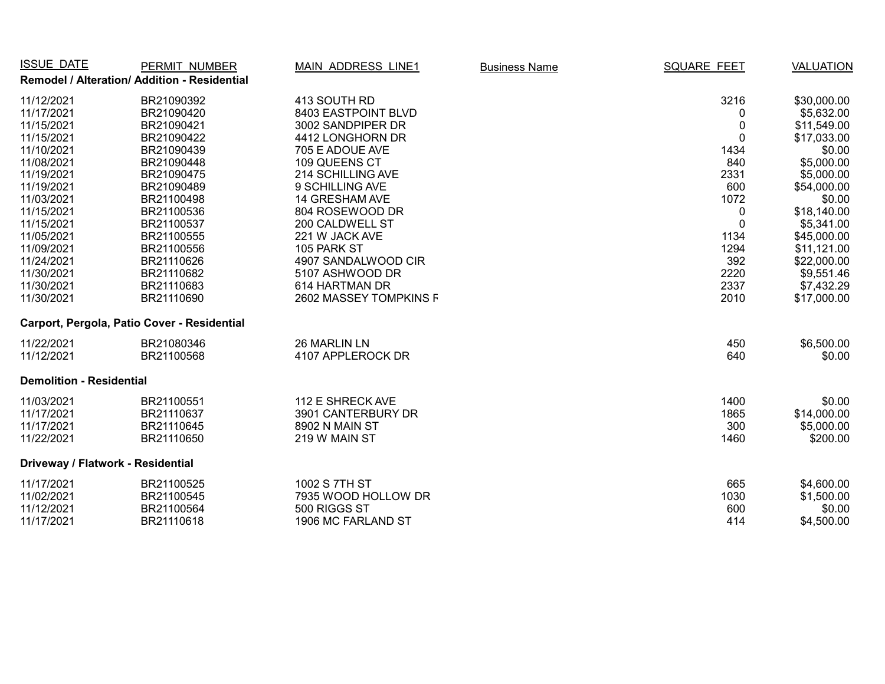| ISSUE DATE                      | PERMIT NUMBER                                | <b>MAIN ADDRESS LINE1</b> | <b>Business Name</b> | <b>SQUARE FEET</b> | <b>VALUATION</b> |
|---------------------------------|----------------------------------------------|---------------------------|----------------------|--------------------|------------------|
|                                 | Remodel / Alteration/ Addition - Residential |                           |                      |                    |                  |
| 11/12/2021                      | BR21090392                                   | 413 SOUTH RD              |                      | 3216               | \$30,000.00      |
| 11/17/2021                      | BR21090420                                   | 8403 EASTPOINT BLVD       |                      | 0                  | \$5,632.00       |
| 11/15/2021                      | BR21090421                                   | 3002 SANDPIPER DR         |                      | 0                  | \$11,549.00      |
| 11/15/2021                      | BR21090422                                   | 4412 LONGHORN DR          |                      | $\mathbf 0$        | \$17,033.00      |
| 11/10/2021                      | BR21090439                                   | 705 E ADOUE AVE           |                      | 1434               | \$0.00           |
| 11/08/2021                      | BR21090448                                   | 109 QUEENS CT             |                      | 840                | \$5,000.00       |
| 11/19/2021                      | BR21090475                                   | 214 SCHILLING AVE         |                      | 2331               | \$5,000.00       |
| 11/19/2021                      | BR21090489                                   | 9 SCHILLING AVE           |                      | 600                | \$54,000.00      |
| 11/03/2021                      | BR21100498                                   | 14 GRESHAM AVE            |                      | 1072               | \$0.00           |
| 11/15/2021                      | BR21100536                                   | 804 ROSEWOOD DR           |                      | 0                  | \$18,140.00      |
| 11/15/2021                      | BR21100537                                   | 200 CALDWELL ST           |                      | $\overline{0}$     | \$5,341.00       |
| 11/05/2021                      | BR21100555                                   | 221 W JACK AVE            |                      | 1134               | \$45,000.00      |
| 11/09/2021                      | BR21100556                                   | 105 PARK ST               |                      | 1294               | \$11,121.00      |
| 11/24/2021                      | BR21110626                                   | 4907 SANDALWOOD CIR       |                      | 392                | \$22,000.00      |
| 11/30/2021                      | BR21110682                                   | 5107 ASHWOOD DR           |                      | 2220               | \$9,551.46       |
| 11/30/2021                      | BR21110683                                   | 614 HARTMAN DR            |                      | 2337               | \$7,432.29       |
| 11/30/2021                      | BR21110690                                   | 2602 MASSEY TOMPKINS F    |                      | 2010               | \$17,000.00      |
|                                 | Carport, Pergola, Patio Cover - Residential  |                           |                      |                    |                  |
| 11/22/2021                      | BR21080346                                   | 26 MARLIN LN              |                      | 450                | \$6,500.00       |
| 11/12/2021                      | BR21100568                                   | 4107 APPLEROCK DR         |                      | 640                | \$0.00           |
| <b>Demolition - Residential</b> |                                              |                           |                      |                    |                  |
| 11/03/2021                      | BR21100551                                   | 112 E SHRECK AVE          |                      | 1400               | \$0.00           |
| 11/17/2021                      | BR21110637                                   | 3901 CANTERBURY DR        |                      | 1865               | \$14,000.00      |
| 11/17/2021                      | BR21110645                                   | 8902 N MAIN ST            |                      | 300                | \$5,000.00       |
| 11/22/2021                      | BR21110650                                   | 219 W MAIN ST             |                      | 1460               | \$200.00         |
|                                 | Driveway / Flatwork - Residential            |                           |                      |                    |                  |
| 11/17/2021                      | BR21100525                                   | 1002 S 7TH ST             |                      | 665                | \$4,600.00       |
| 11/02/2021                      | BR21100545                                   | 7935 WOOD HOLLOW DR       |                      | 1030               | \$1,500.00       |
| 11/12/2021                      | BR21100564                                   | 500 RIGGS ST              |                      | 600                | \$0.00           |
| 11/17/2021                      | BR21110618                                   | 1906 MC FARLAND ST        |                      | 414                | \$4,500.00       |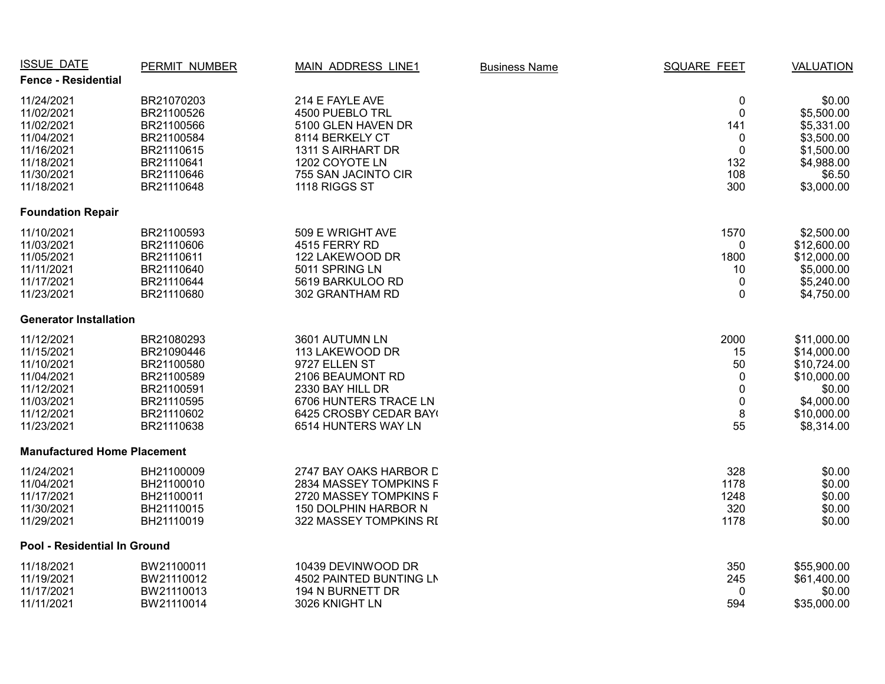| <b>ISSUE DATE</b>                  | PERMIT NUMBER | MAIN ADDRESS LINE1      | <b>Business Name</b> | <b>SQUARE FEET</b> | <b>VALUATION</b> |
|------------------------------------|---------------|-------------------------|----------------------|--------------------|------------------|
| <b>Fence - Residential</b>         |               |                         |                      |                    |                  |
| 11/24/2021                         | BR21070203    | 214 E FAYLE AVE         |                      | $\pmb{0}$          | \$0.00           |
| 11/02/2021                         | BR21100526    | 4500 PUEBLO TRL         |                      | $\mathbf 0$        | \$5,500.00       |
| 11/02/2021                         | BR21100566    | 5100 GLEN HAVEN DR      |                      | 141                | \$5,331.00       |
| 11/04/2021                         | BR21100584    | 8114 BERKELY CT         |                      | 0                  | \$3,500.00       |
| 11/16/2021                         | BR21110615    | 1311 S AIRHART DR       |                      | $\mathbf 0$        | \$1,500.00       |
| 11/18/2021                         | BR21110641    | 1202 COYOTE LN          |                      | 132                | \$4,988.00       |
| 11/30/2021                         | BR21110646    | 755 SAN JACINTO CIR     |                      | 108                | \$6.50           |
| 11/18/2021                         | BR21110648    | 1118 RIGGS ST           |                      | 300                | \$3,000.00       |
| <b>Foundation Repair</b>           |               |                         |                      |                    |                  |
| 11/10/2021                         | BR21100593    | 509 E WRIGHT AVE        |                      | 1570               | \$2,500.00       |
| 11/03/2021                         | BR21110606    | 4515 FERRY RD           |                      | 0                  | \$12,600.00      |
| 11/05/2021                         | BR21110611    | 122 LAKEWOOD DR         |                      | 1800               | \$12,000.00      |
| 11/11/2021                         | BR21110640    | 5011 SPRING LN          |                      | 10                 | \$5,000.00       |
| 11/17/2021                         | BR21110644    | 5619 BARKULOO RD        |                      | $\mathbf 0$        | \$5,240.00       |
| 11/23/2021                         | BR21110680    | 302 GRANTHAM RD         |                      | 0                  | \$4,750.00       |
| <b>Generator Installation</b>      |               |                         |                      |                    |                  |
| 11/12/2021                         | BR21080293    | 3601 AUTUMN LN          |                      | 2000               | \$11,000.00      |
| 11/15/2021                         | BR21090446    | 113 LAKEWOOD DR         |                      | 15                 | \$14,000.00      |
| 11/10/2021                         | BR21100580    | 9727 ELLEN ST           |                      | 50                 | \$10,724.00      |
| 11/04/2021                         | BR21100589    | 2106 BEAUMONT RD        |                      | 0                  | \$10,000.00      |
| 11/12/2021                         | BR21100591    | 2330 BAY HILL DR        |                      | 0                  | \$0.00           |
| 11/03/2021                         | BR21110595    | 6706 HUNTERS TRACE LN   |                      | 0                  | \$4,000.00       |
| 11/12/2021                         | BR21110602    | 6425 CROSBY CEDAR BAY(  |                      | 8                  | \$10,000.00      |
| 11/23/2021                         | BR21110638    | 6514 HUNTERS WAY LN     |                      | 55                 | \$8,314.00       |
| <b>Manufactured Home Placement</b> |               |                         |                      |                    |                  |
| 11/24/2021                         | BH21100009    | 2747 BAY OAKS HARBOR D  |                      | 328                | \$0.00           |
| 11/04/2021                         | BH21100010    | 2834 MASSEY TOMPKINS F  |                      | 1178               | \$0.00           |
| 11/17/2021                         | BH21100011    | 2720 MASSEY TOMPKINS F  |                      | 1248               | \$0.00           |
| 11/30/2021                         | BH21110015    | 150 DOLPHIN HARBOR N    |                      | 320                | \$0.00           |
| 11/29/2021                         | BH21110019    | 322 MASSEY TOMPKINS RI  |                      | 1178               | \$0.00           |
| Pool - Residential In Ground       |               |                         |                      |                    |                  |
| 11/18/2021                         | BW21100011    | 10439 DEVINWOOD DR      |                      | 350                | \$55,900.00      |
| 11/19/2021                         | BW21110012    | 4502 PAINTED BUNTING LN |                      | 245                | \$61,400.00      |
| 11/17/2021                         | BW21110013    | 194 N BURNETT DR        |                      | 0                  | \$0.00           |
| 11/11/2021                         | BW21110014    | 3026 KNIGHT LN          |                      | 594                | \$35,000.00      |